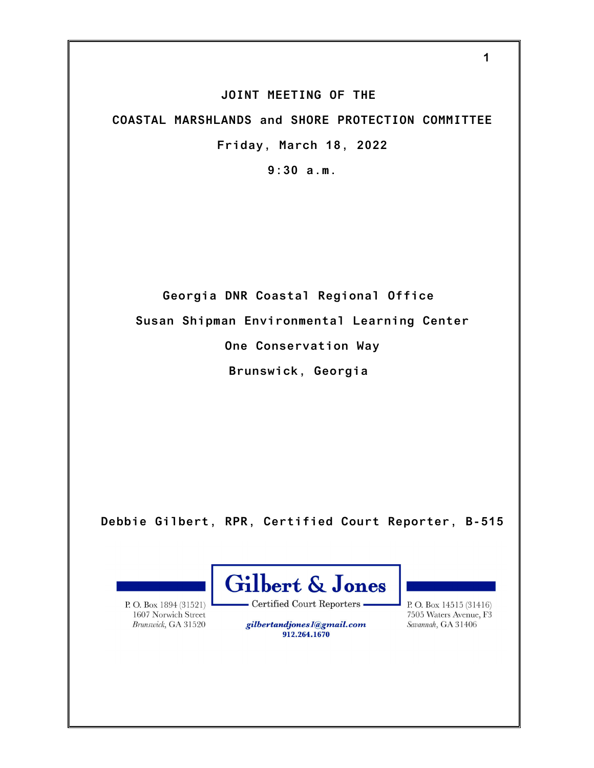## **JOINT MEETING OF THE**

**COASTAL MARSHLANDS and SHORE PROTECTION COMMITTEE Friday, March 18, 2022**

**9:30 a.m.**

**Georgia DNR Coastal Regional Office Susan Shipman Environmental Learning Center One Conservation Way Brunswick, Georgia**

**Debbie Gilbert, RPR, Certified Court Reporter, B-515**

P.O. Box 1894 (31521) 1607 Norwich Street Brunswick, GA 31520



- Certified Court Reporters -

gilbertandjones1@gmail.com 912.264.1670

P.O. Box 14515 (31416) 7505 Waters Avenue, F3 Savannah, GA 31406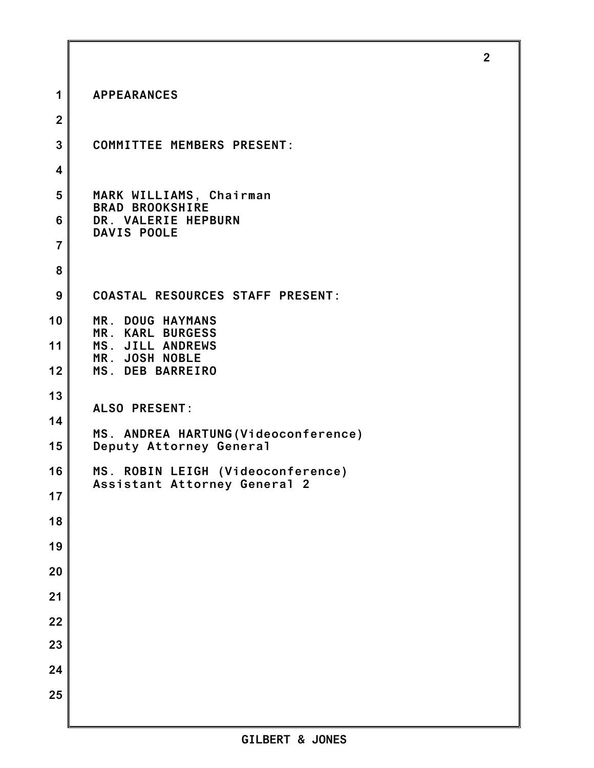| 1               | <b>APPEARANCES</b>                                                |
|-----------------|-------------------------------------------------------------------|
| $\overline{2}$  |                                                                   |
| 3               | <b>COMMITTEE MEMBERS PRESENT:</b>                                 |
| 4               |                                                                   |
| 5               | MARK WILLIAMS, Chairman<br><b>BRAD BROOKSHIRE</b>                 |
| $6\phantom{1}6$ | DR. VALERIE HEPBURN<br>DAVIS POOLE                                |
| $\overline{7}$  |                                                                   |
| 8               |                                                                   |
| 9               | <b>COASTAL RESOURCES STAFF PRESENT:</b>                           |
| 10              | MR. DOUG HAYMANS<br>MR. KARL BURGESS                              |
| 11              | MS. JILL ANDREWS<br>MR. JOSH NOBLE                                |
| 12              | MS. DEB BARREIRO                                                  |
| 13              | <b>ALSO PRESENT:</b>                                              |
| 14              | MS. ANDREA HARTUNG (Videoconference)                              |
| 15              | Deputy Attorney General                                           |
| 16              | MS. ROBIN LEIGH (Videoconference)<br>Assistant Attorney General 2 |
| 17              |                                                                   |
| 18              |                                                                   |
| 19              |                                                                   |
| 20              |                                                                   |
| 21              |                                                                   |
| 22              |                                                                   |
| 23              |                                                                   |
| 24              |                                                                   |
| 25              |                                                                   |
|                 |                                                                   |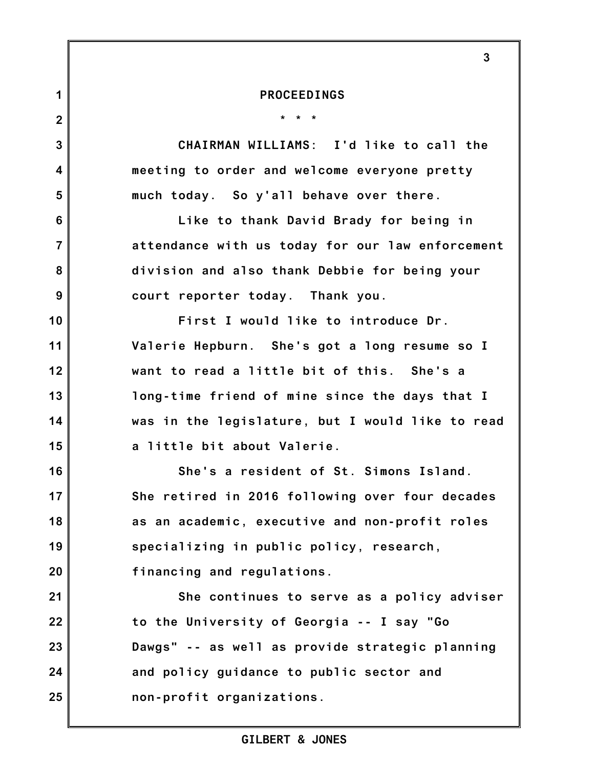|                | 3                                                |
|----------------|--------------------------------------------------|
| 1              | <b>PROCEEDINGS</b>                               |
| $\overline{2}$ | $*$ $*$<br>$\star$                               |
| $\overline{3}$ | CHAIRMAN WILLIAMS: I'd like to call the          |
| 4              | meeting to order and welcome everyone pretty     |
| $5\phantom{1}$ | much today. So y'all behave over there.          |
| 6              | Like to thank David Brady for being in           |
| $\overline{7}$ | attendance with us today for our law enforcement |
| 8              | division and also thank Debbie for being your    |
| 9              | court reporter today. Thank you.                 |
| 10             | First I would like to introduce Dr.              |
| 11             | Valerie Hepburn. She's got a long resume so I    |
| 12             | want to read a little bit of this. She's a       |
| 13             | long-time friend of mine since the days that I   |
| 14             | was in the legislature, but I would like to read |
| 15             | a little bit about Valerie.                      |
| 16             | She's a resident of St. Simons Island            |
| 17             | She retired in 2016 following over four decades  |
| 18             | as an academic, executive and non-profit roles   |
| 19             | specializing in public policy, research,         |
| 20             | financing and regulations.                       |
| 21             | She continues to serve as a policy adviser       |
| 22             | to the University of Georgia -- I say "Go        |
| 23             | Dawgs" -- as well as provide strategic planning  |
| 24             | and policy guidance to public sector and         |
| 25             | non-profit organizations.                        |
|                |                                                  |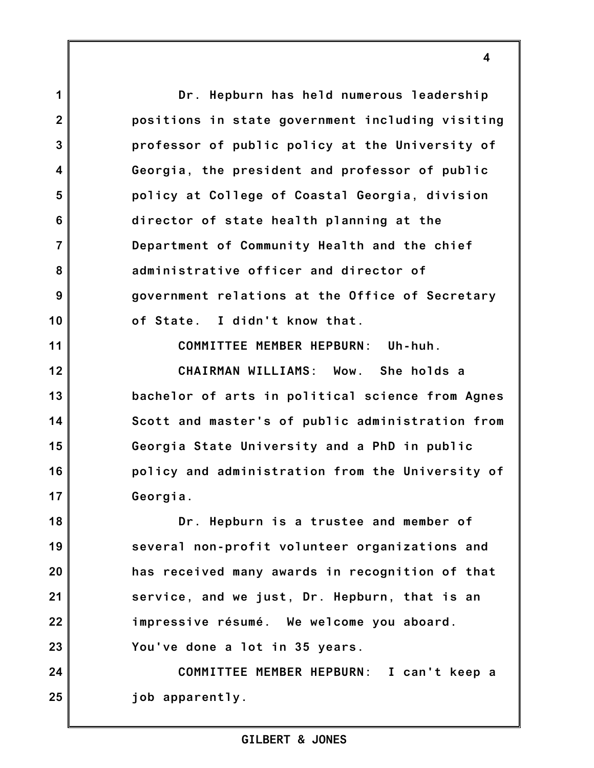**Dr. Hepburn has held numerous leadership positions in state government including visiting professor of public policy at the University of Georgia, the president and professor of public policy at College of Coastal Georgia, division director of state health planning at the Department of Community Health and the chief administrative officer and director of government relations at the Office of Secretary of State. I didn't know that.**

**1**

**2**

**3**

**4**

**5**

**6**

**7**

**8**

**9**

**10**

**11**

**12**

**13**

**14**

**15**

**16**

**17**

**COMMITTEE MEMBER HEPBURN: Uh-huh.**

**CHAIRMAN WILLIAMS: Wow. She holds a bachelor of arts in political science from Agnes Scott and master's of public administration from Georgia State University and a PhD in public policy and administration from the University of Georgia.**

**18 19 20 21 22 23 Dr. Hepburn is a trustee and member of several non-profit volunteer organizations and has received many awards in recognition of that service, and we just, Dr. Hepburn, that is an impressive résumé. We welcome you aboard. You've done a lot in 35 years.**

**24 25 COMMITTEE MEMBER HEPBURN: I can't keep a job apparently.**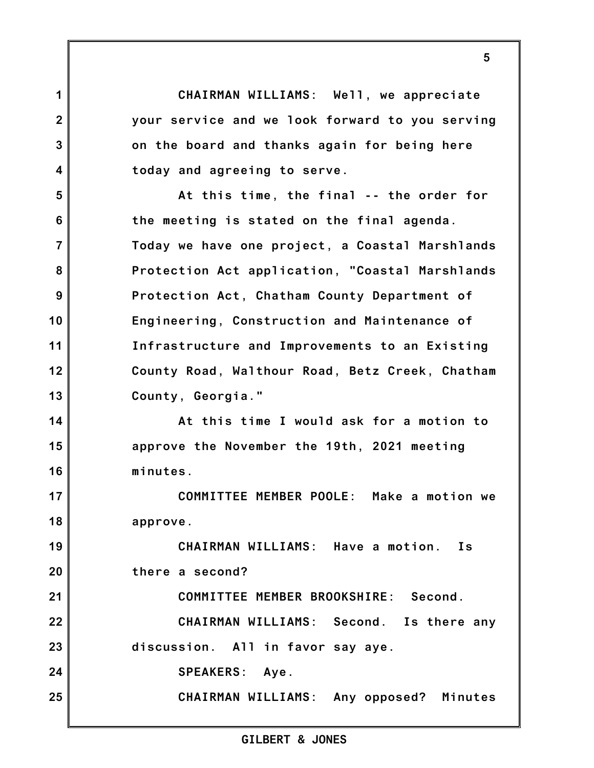**CHAIRMAN WILLIAMS: Well, we appreciate your service and we look forward to you serving on the board and thanks again for being here today and agreeing to serve.**

**1**

**2**

**3**

**4**

**5**

**6**

**7**

**8**

**9**

**10**

**11**

**12**

**13**

**At this time, the final -- the order for the meeting is stated on the final agenda. Today we have one project, a Coastal Marshlands Protection Act application, "Coastal Marshlands Protection Act, Chatham County Department of Engineering, Construction and Maintenance of Infrastructure and Improvements to an Existing County Road, Walthour Road, Betz Creek, Chatham County, Georgia."**

**14 15 16 At this time I would ask for a motion to approve the November the 19th, 2021 meeting minutes.**

**17 18 COMMITTEE MEMBER POOLE: Make a motion we approve.**

**19 20 21 22 23 24 25 CHAIRMAN WILLIAMS: Have a motion. Is there a second? COMMITTEE MEMBER BROOKSHIRE: Second. CHAIRMAN WILLIAMS: Second. Is there any discussion. All in favor say aye. SPEAKERS: Aye. CHAIRMAN WILLIAMS: Any opposed? Minutes**

## **GILBERT & JONES**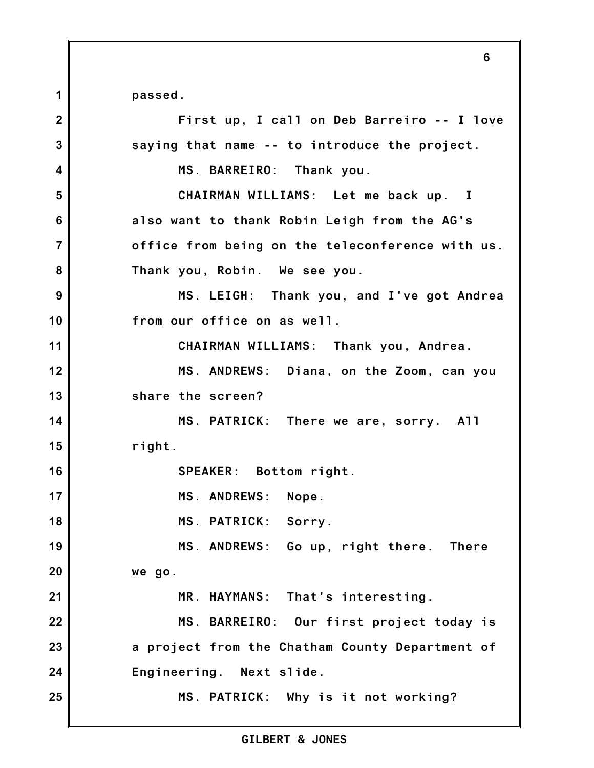**passed.**

**1**

**2 3 4 5 6 7 8 9 10 11 12 13 14 15 16 17 18 19 20 21 22 23 24 25 First up, I call on Deb Barreiro -- I love saying that name -- to introduce the project. MS. BARREIRO: Thank you. CHAIRMAN WILLIAMS: Let me back up. I also want to thank Robin Leigh from the AG's office from being on the teleconference with us. Thank you, Robin. We see you. MS. LEIGH: Thank you, and I've got Andrea from our office on as well. CHAIRMAN WILLIAMS: Thank you, Andrea. MS. ANDREWS: Diana, on the Zoom, can you share the screen? MS. PATRICK: There we are, sorry. All right. SPEAKER: Bottom right. MS. ANDREWS: Nope. MS. PATRICK: Sorry. MS. ANDREWS: Go up, right there. There we go. MR. HAYMANS: That's interesting. MS. BARREIRO: Our first project today is a project from the Chatham County Department of Engineering. Next slide. MS. PATRICK: Why is it not working?**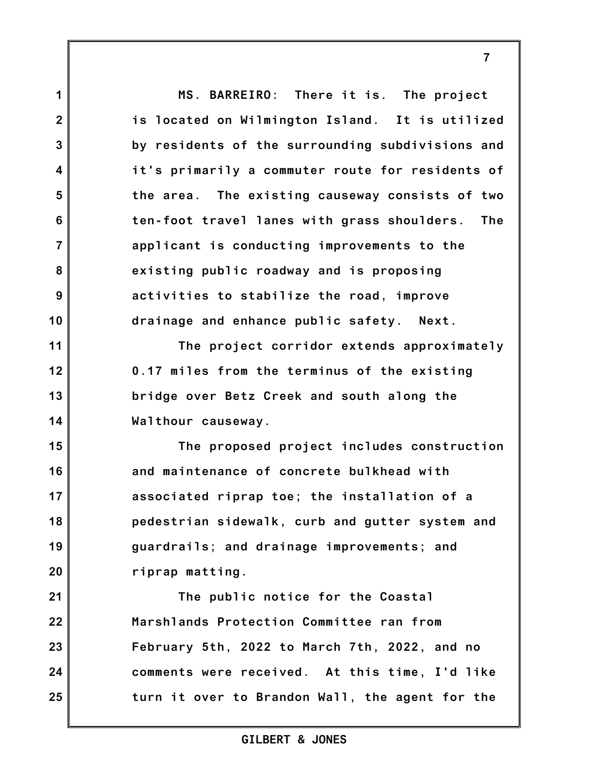**1 2 3 4 5 6 7 8 9 10 11 12 13 14 15 16 17 18 19 20 21 22 23 24 25 MS. BARREIRO: There it is. The project is located on Wilmington Island. It is utilized by residents of the surrounding subdivisions and it's primarily a commuter route for residents of the area. The existing causeway consists of two ten-foot travel lanes with grass shoulders. The applicant is conducting improvements to the existing public roadway and is proposing activities to stabilize the road, improve drainage and enhance public safety. Next. The project corridor extends approximately 0.17 miles from the terminus of the existing bridge over Betz Creek and south along the Walthour causeway. The proposed project includes construction and maintenance of concrete bulkhead with associated riprap toe; the installation of a pedestrian sidewalk, curb and gutter system and guardrails; and drainage improvements; and riprap matting. The public notice for the Coastal Marshlands Protection Committee ran from February 5th, 2022 to March 7th, 2022, and no comments were received. At this time, I'd like turn it over to Brandon Wall, the agent for the**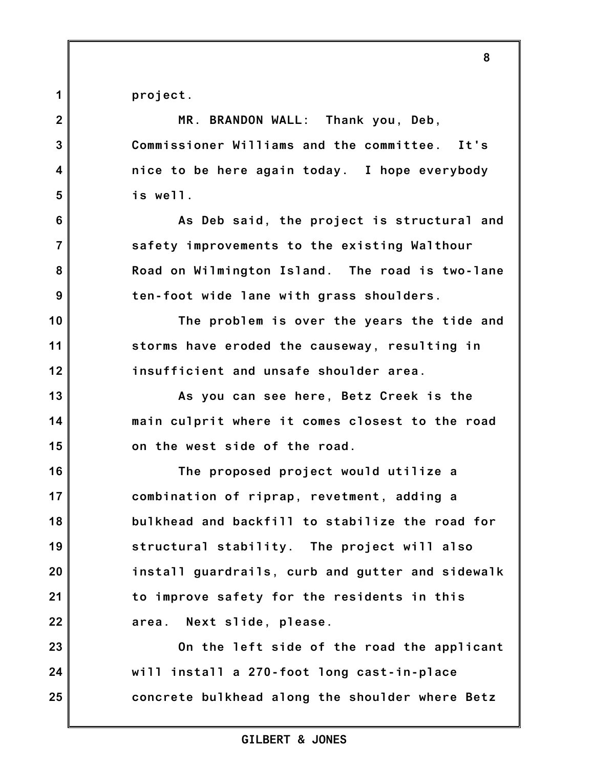**project.**

| $\overline{2}$          | MR. BRANDON WALL: Thank you, Deb,                |
|-------------------------|--------------------------------------------------|
| 3                       | Commissioner Williams and the committee. It's    |
| $\overline{\mathbf{4}}$ | nice to be here again today. I hope everybody    |
| 5                       | is well.                                         |
| 6                       | As Deb said, the project is structural and       |
| $\overline{7}$          | safety improvements to the existing Walthour     |
| 8                       | Road on Wilmington Island. The road is two-lane  |
| 9                       | ten-foot wide lane with grass shoulders.         |
| 10                      | The problem is over the years the tide and       |
| 11                      | storms have eroded the causeway, resulting in    |
| 12                      | insufficient and unsafe shoulder area.           |
| 13                      | As you can see here, Betz Creek is the           |
| 14                      | main culprit where it comes closest to the road  |
| 15                      | on the west side of the road.                    |
| 16                      | The proposed project would utilize a             |
| 17                      | combination of riprap, revetment, adding a       |
| 18                      | bulkhead and backfill to stabilize the road for  |
| 19                      | structural stability. The project will also      |
| 20                      | install guardrails, curb and gutter and sidewalk |
| 21                      | to improve safety for the residents in this      |
| 22                      | Next slide, please.<br>area.                     |
| 23                      | On the left side of the road the applicant       |
| 24                      | will install a 270-foot long cast-in-place       |
| 25                      | concrete bulkhead along the shoulder where Betz  |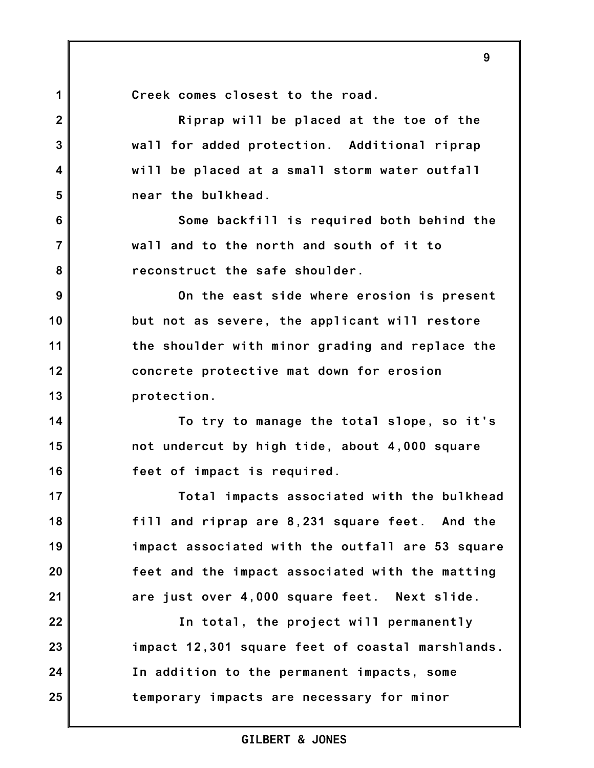**9**

**Creek comes closest to the road.**

**1**

**2**

**3**

**4**

**5**

**6**

**7**

**8**

**14**

**15**

**16**

**17**

**18**

**19**

**20**

**21**

**Riprap will be placed at the toe of the wall for added protection. Additional riprap will be placed at a small storm water outfall near the bulkhead.**

**Some backfill is required both behind the wall and to the north and south of it to reconstruct the safe shoulder.**

**9 10 11 12 13 On the east side where erosion is present but not as severe, the applicant will restore the shoulder with minor grading and replace the concrete protective mat down for erosion protection.**

**To try to manage the total slope, so it's not undercut by high tide, about 4,000 square feet of impact is required.**

**Total impacts associated with the bulkhead fill and riprap are 8,231 square feet. And the impact associated with the outfall are 53 square feet and the impact associated with the matting are just over 4,000 square feet. Next slide.**

**22 23 24 25 In total, the project will permanently impact 12,301 square feet of coastal marshlands. In addition to the permanent impacts, some temporary impacts are necessary for minor**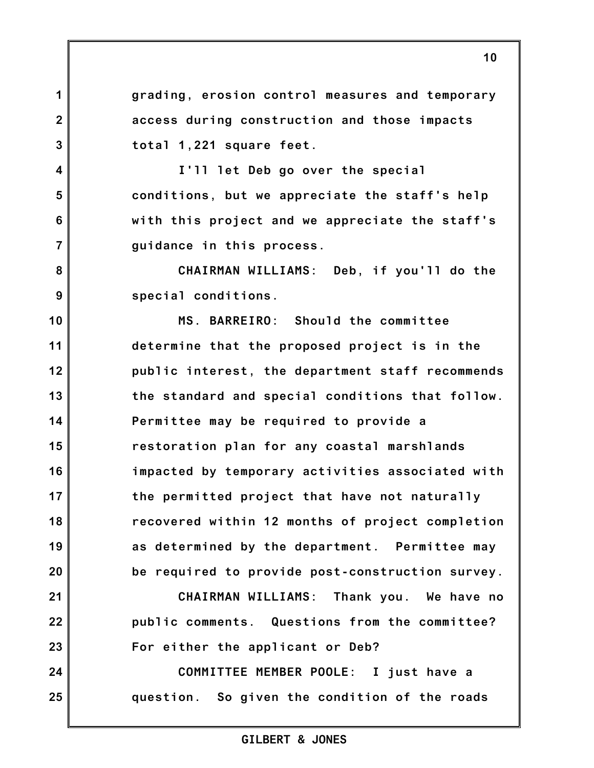**grading, erosion control measures and temporary access during construction and those impacts total 1,221 square feet.**

**1**

**2**

**3**

**4**

**5**

**6**

**7**

**8**

**9**

**21**

**22**

**23**

**24**

**25**

**I'll let Deb go over the special conditions, but we appreciate the staff's help with this project and we appreciate the staff's guidance in this process.**

**CHAIRMAN WILLIAMS: Deb, if you'll do the special conditions.**

**10 11 12 13 14 15 16 17 18 19 20 MS. BARREIRO: Should the committee determine that the proposed project is in the public interest, the department staff recommends the standard and special conditions that follow. Permittee may be required to provide a restoration plan for any coastal marshlands impacted by temporary activities associated with the permitted project that have not naturally recovered within 12 months of project completion as determined by the department. Permittee may be required to provide post-construction survey.**

> **CHAIRMAN WILLIAMS: Thank you. We have no public comments. Questions from the committee? For either the applicant or Deb?**

**COMMITTEE MEMBER POOLE: I just have a question. So given the condition of the roads**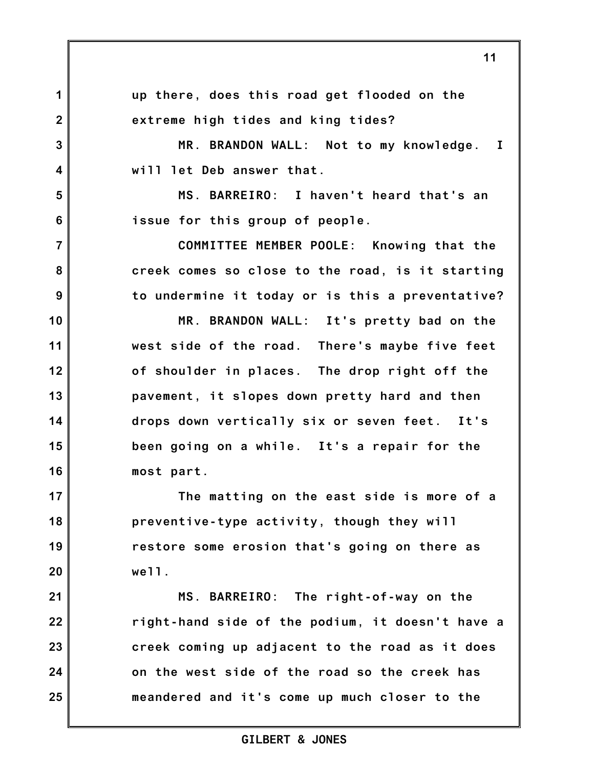**1 2 3 4 5 6 7 8 9 10 11 12 13 14 15 16 17 18 19 20 21 22 23 24 25 up there, does this road get flooded on the extreme high tides and king tides? MR. BRANDON WALL: Not to my knowledge. I will let Deb answer that. MS. BARREIRO: I haven't heard that's an issue for this group of people. COMMITTEE MEMBER POOLE: Knowing that the creek comes so close to the road, is it starting to undermine it today or is this a preventative? MR. BRANDON WALL: It's pretty bad on the west side of the road. There's maybe five feet of shoulder in places. The drop right off the pavement, it slopes down pretty hard and then drops down vertically six or seven feet. It's been going on a while. It's a repair for the most part. The matting on the east side is more of a preventive-type activity, though they will restore some erosion that's going on there as well. MS. BARREIRO: The right-of-way on the right-hand side of the podium, it doesn't have a creek coming up adjacent to the road as it does on the west side of the road so the creek has meandered and it's come up much closer to the**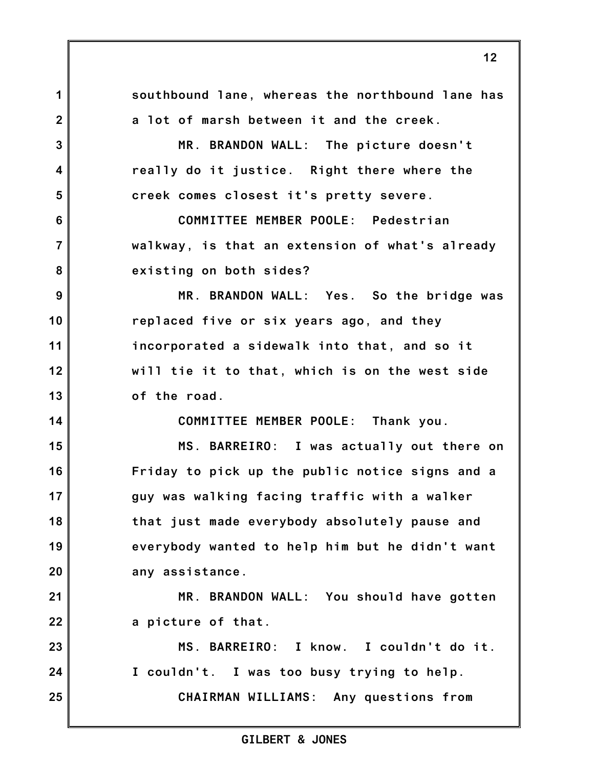**1 2 3 4 5 6 7 8 9 10 11 12 13 14 15 16 17 18 19 20 21 22 23 24 25 southbound lane, whereas the northbound lane has a lot of marsh between it and the creek. MR. BRANDON WALL: The picture doesn't really do it justice. Right there where the creek comes closest it's pretty severe. COMMITTEE MEMBER POOLE: Pedestrian walkway, is that an extension of what's already existing on both sides? MR. BRANDON WALL: Yes. So the bridge was replaced five or six years ago, and they incorporated a sidewalk into that, and so it will tie it to that, which is on the west side of the road. COMMITTEE MEMBER POOLE: Thank you. MS. BARREIRO: I was actually out there on Friday to pick up the public notice signs and a guy was walking facing traffic with a walker that just made everybody absolutely pause and everybody wanted to help him but he didn't want any assistance. MR. BRANDON WALL: You should have gotten a picture of that. MS. BARREIRO: I know. I couldn't do it. I couldn't. I was too busy trying to help. CHAIRMAN WILLIAMS: Any questions from**

## **GILBERT & JONES**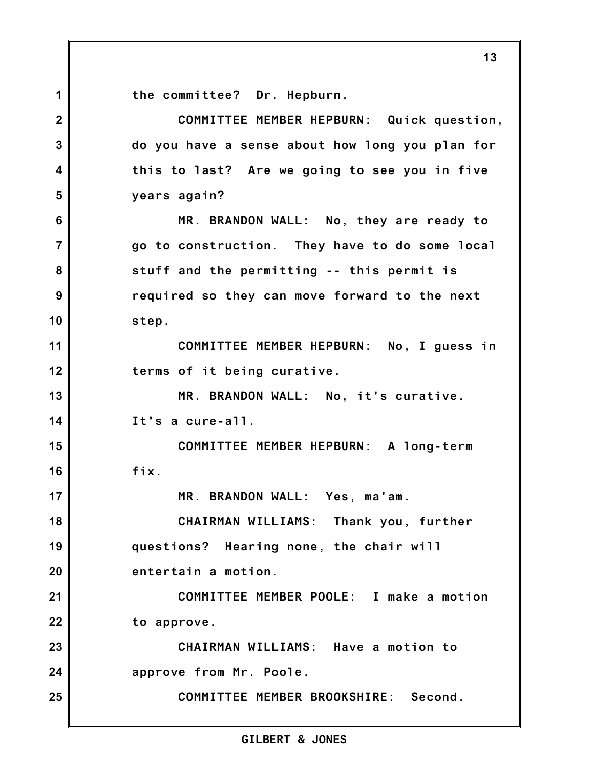**the committee? Dr. Hepburn.**

**1**

**2 3 4 5 6 7 8 9 10 11 12 13 14 15 16 17 18 19 20 21 22 23 24 25 COMMITTEE MEMBER HEPBURN: Quick question, do you have a sense about how long you plan for this to last? Are we going to see you in five years again? MR. BRANDON WALL: No, they are ready to go to construction. They have to do some local stuff and the permitting -- this permit is required so they can move forward to the next step. COMMITTEE MEMBER HEPBURN: No, I guess in terms of it being curative. MR. BRANDON WALL: No, it's curative. It's a cure-all. COMMITTEE MEMBER HEPBURN: A long-term fix. MR. BRANDON WALL: Yes, ma'am. CHAIRMAN WILLIAMS: Thank you, further questions? Hearing none, the chair will entertain a motion. COMMITTEE MEMBER POOLE: I make a motion to approve. CHAIRMAN WILLIAMS: Have a motion to approve from Mr. Poole. COMMITTEE MEMBER BROOKSHIRE: Second.**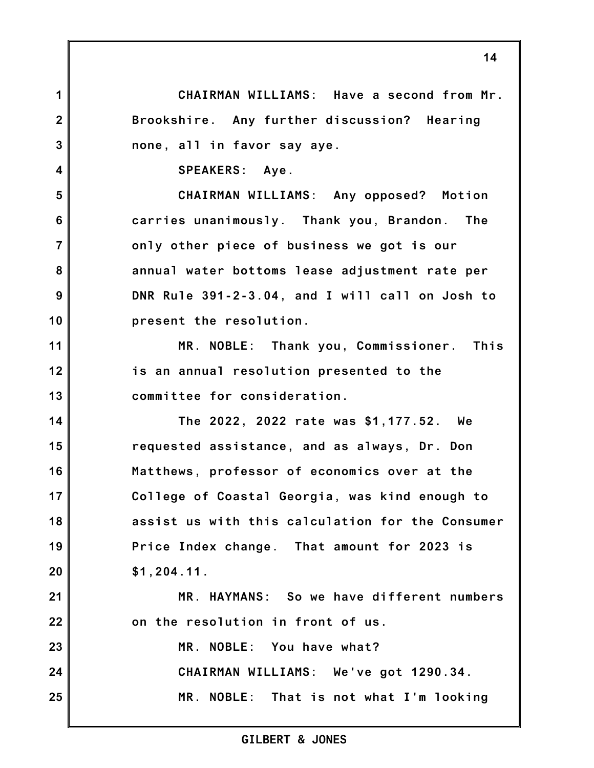**CHAIRMAN WILLIAMS: Have a second from Mr. Brookshire. Any further discussion? Hearing none, all in favor say aye.**

**SPEAKERS: Aye.**

**1**

**2**

**3**

**4**

**5**

**6**

**7**

**8**

**9**

**10**

**11**

**12**

**13**

**21**

**22**

**CHAIRMAN WILLIAMS: Any opposed? Motion carries unanimously. Thank you, Brandon. The only other piece of business we got is our annual water bottoms lease adjustment rate per DNR Rule 391-2-3.04, and I will call on Josh to present the resolution.**

**MR. NOBLE: Thank you, Commissioner. This is an annual resolution presented to the committee for consideration.**

**14 15 16 17 18 19 20 The 2022, 2022 rate was \$1,177.52. We requested assistance, and as always, Dr. Don Matthews, professor of economics over at the College of Coastal Georgia, was kind enough to assist us with this calculation for the Consumer Price Index change. That amount for 2023 is \$1,204.11.**

**MR. HAYMANS: So we have different numbers on the resolution in front of us.**

**23 24 25 MR. NOBLE: You have what? CHAIRMAN WILLIAMS: We've got 1290.34. MR. NOBLE: That is not what I'm looking**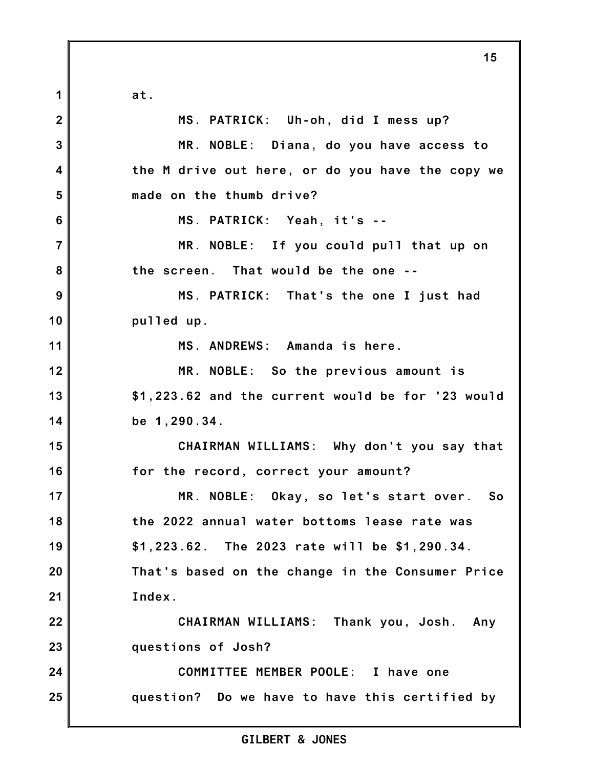**at.**

**1 2 3 4 5 6 7 8 9 10 11 12 13 14 15 16 17 18 19 20 21 22 23 24 25 MS. PATRICK: Uh-oh, did I mess up? MR. NOBLE: Diana, do you have access to the M drive out here, or do you have the copy we made on the thumb drive? MS. PATRICK: Yeah, it's -- MR. NOBLE: If you could pull that up on the screen. That would be the one -- MS. PATRICK: That's the one I just had pulled up. MS. ANDREWS: Amanda is here. MR. NOBLE: So the previous amount is \$1,223.62 and the current would be for '23 would be 1,290.34. CHAIRMAN WILLIAMS: Why don't you say that for the record, correct your amount? MR. NOBLE: Okay, so let's start over. So the 2022 annual water bottoms lease rate was \$1,223.62. The 2023 rate will be \$1,290.34. That's based on the change in the Consumer Price Index. CHAIRMAN WILLIAMS: Thank you, Josh. Any questions of Josh? COMMITTEE MEMBER POOLE: I have one question? Do we have to have this certified by**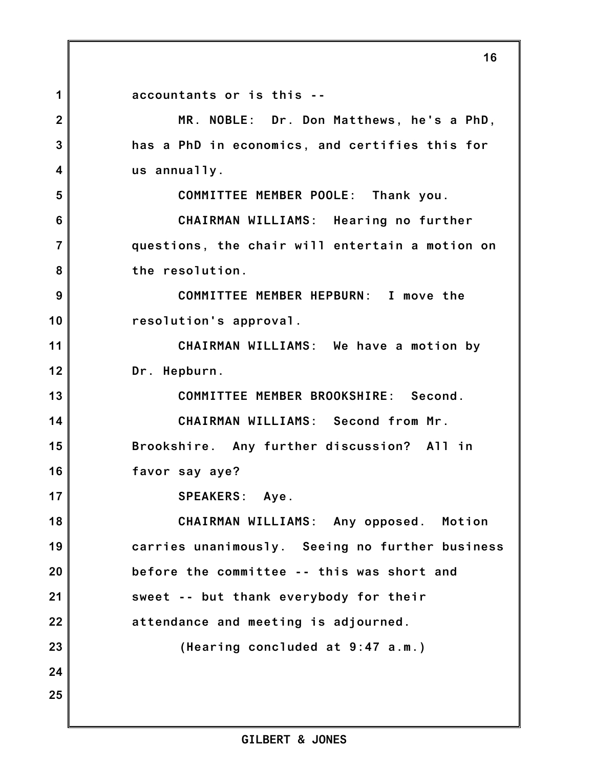**1 2 3 4 5 6 7 8 9 10 11 12 13 14 15 16 17 18 19 20 21 22 23 24 25 accountants or is this -- MR. NOBLE: Dr. Don Matthews, he's a PhD, has a PhD in economics, and certifies this for us annually. COMMITTEE MEMBER POOLE: Thank you. CHAIRMAN WILLIAMS: Hearing no further questions, the chair will entertain a motion on the resolution. COMMITTEE MEMBER HEPBURN: I move the resolution's approval. CHAIRMAN WILLIAMS: We have a motion by Dr. Hepburn. COMMITTEE MEMBER BROOKSHIRE: Second. CHAIRMAN WILLIAMS: Second from Mr. Brookshire. Any further discussion? All in favor say aye? SPEAKERS: Aye. CHAIRMAN WILLIAMS: Any opposed. Motion carries unanimously. Seeing no further business before the committee -- this was short and sweet -- but thank everybody for their attendance and meeting is adjourned. (Hearing concluded at 9:47 a.m.)**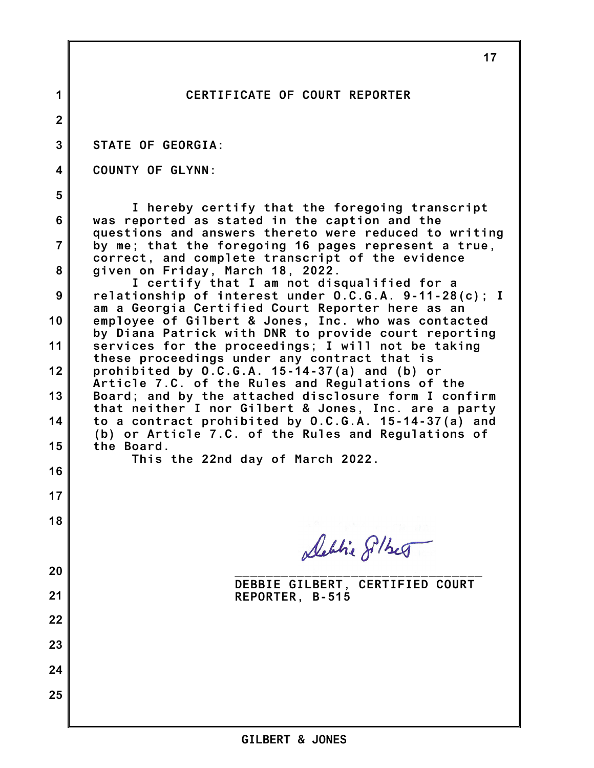|                | 17                                                                                                           |
|----------------|--------------------------------------------------------------------------------------------------------------|
| 1              | CERTIFICATE OF COURT REPORTER                                                                                |
| $\overline{2}$ |                                                                                                              |
| 3              | <b>STATE OF GEORGIA:</b>                                                                                     |
| 4              | <b>COUNTY OF GLYNN:</b>                                                                                      |
| 5              | I hereby certify that the foregoing transcript                                                               |
| 6              | was reported as stated in the caption and the<br>questions and answers thereto were reduced to writing       |
| $\overline{7}$ | by me; that the foregoing 16 pages represent a true,<br>correct, and complete transcript of the evidence     |
| 8              | given on Friday, March 18, 2022.<br>I certify that I am not disqualified for a                               |
| 9              | relationship of interest under O.C.G.A. 9-11-28(c); I<br>am a Georgia Certified Court Reporter here as an    |
| 10             | employee of Gilbert & Jones, Inc. who was contacted<br>by Diana Patrick with DNR to provide court reporting  |
| 11             | services for the proceedings; I will not be taking<br>these proceedings under any contract that is           |
| 12             | prohibited by $0.C.G.A. 15-14-37(a)$ and $(b)$ or<br>Article 7.C. of the Rules and Regulations of the        |
| 13             | Board; and by the attached disclosure form I confirm<br>that neither I nor Gilbert & Jones, Inc. are a party |
| 14             | to a contract prohibited by O.C.G.A. 15-14-37(a) and<br>(b) or Article 7.C. of the Rules and Regulations of  |
| 15             | the Board.<br>This the 22nd day of March 2022.                                                               |
| 16             |                                                                                                              |
| 17             |                                                                                                              |
| 18             | Debtie Silber                                                                                                |
| 20             |                                                                                                              |
| 21             | DEBBIE GILBERT, CERTIFIED COURT<br>REPORTER, B-515                                                           |
| 22             |                                                                                                              |
| 23             |                                                                                                              |
| 24             |                                                                                                              |
| 25             |                                                                                                              |
|                |                                                                                                              |